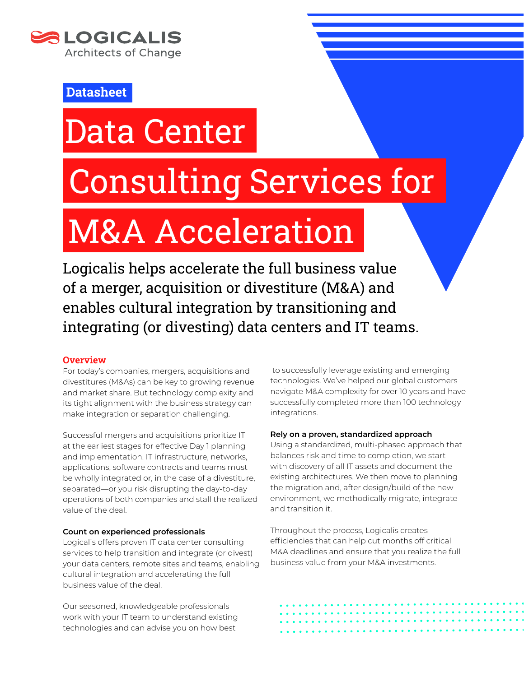

### **Datasheet**

## Data Center

### Consulting Services for

# M&A Acceleration

Logicalis helps accelerate the full business value of a merger, acquisition or divestiture (M&A) and enables cultural integration by transitioning and integrating (or divesting) data centers and IT teams.

#### **Overview**

For today's companies, mergers, acquisitions and divestitures (M&As) can be key to growing revenue and market share. But technology complexity and its tight alignment with the business strategy can make integration or separation challenging.

Successful mergers and acquisitions prioritize IT at the earliest stages for effective Day 1 planning and implementation. IT infrastructure, networks, applications, software contracts and teams must be wholly integrated or, in the case of a divestiture, separated—or you risk disrupting the day-to-day operations of both companies and stall the realized value of the deal.

#### **Count on experienced professionals**

Logicalis offers proven IT data center consulting services to help transition and integrate (or divest) your data centers, remote sites and teams, enabling cultural integration and accelerating the full business value of the deal.

Our seasoned, knowledgeable professionals work with your IT team to understand existing technologies and can advise you on how best

 to successfully leverage existing and emerging technologies. We've helped our global customers navigate M&A complexity for over 10 years and have successfully completed more than 100 technology integrations.

#### **Rely on a proven, standardized approach**

Using a standardized, multi-phased approach that balances risk and time to completion, we start with discovery of all IT assets and document the existing architectures. We then move to planning the migration and, after design/build of the new environment, we methodically migrate, integrate and transition it.

Throughout the process, Logicalis creates efficiencies that can help cut months off critical M&A deadlines and ensure that you realize the full business value from your M&A investments.